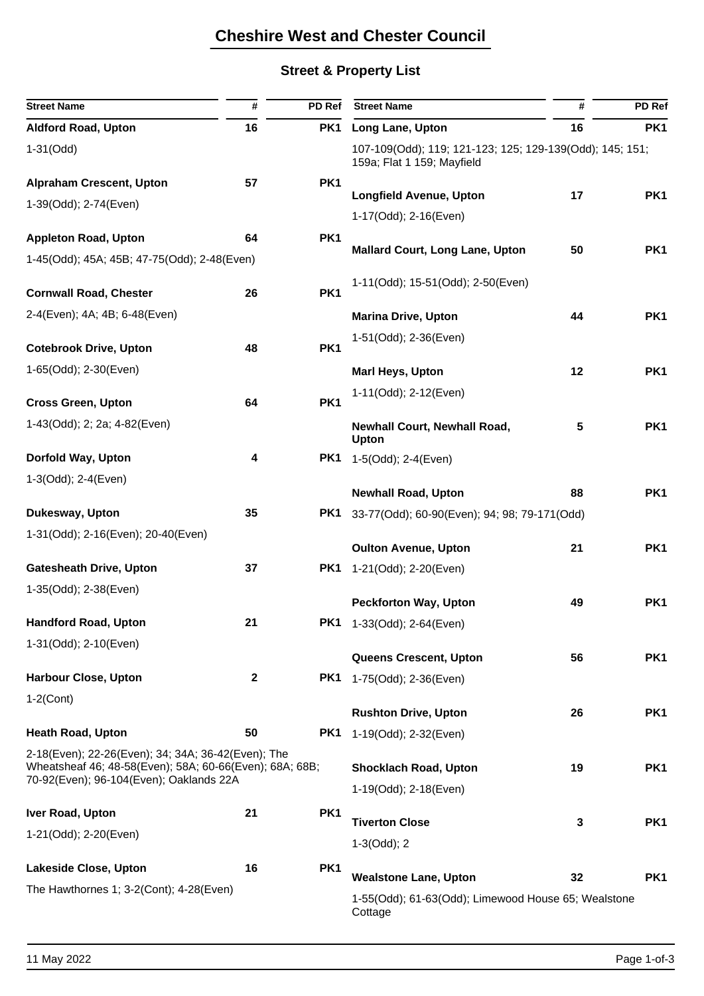# **Cheshire West and Chester Council**

### **Street & Property List**

| <b>Street Name</b>                                                                                                                                       | #            | PD Ref          | <b>Street Name</b>                                                                     | #  | PD Ref          |  |
|----------------------------------------------------------------------------------------------------------------------------------------------------------|--------------|-----------------|----------------------------------------------------------------------------------------|----|-----------------|--|
| <b>Aldford Road, Upton</b>                                                                                                                               | 16           | PK1             | Long Lane, Upton                                                                       | 16 | PK <sub>1</sub> |  |
| $1-31$ (Odd)                                                                                                                                             |              |                 | 107-109(Odd); 119; 121-123; 125; 129-139(Odd); 145; 151;<br>159a; Flat 1 159; Mayfield |    |                 |  |
| <b>Alpraham Crescent, Upton</b>                                                                                                                          | 57           | PK1             |                                                                                        |    |                 |  |
| 1-39(Odd); 2-74(Even)                                                                                                                                    |              |                 | <b>Longfield Avenue, Upton</b>                                                         | 17 | PK1             |  |
|                                                                                                                                                          |              |                 | 1-17(Odd); 2-16(Even)                                                                  |    |                 |  |
| <b>Appleton Road, Upton</b>                                                                                                                              | 64           | PK1             | <b>Mallard Court, Long Lane, Upton</b>                                                 | 50 | PK1             |  |
| 1-45(Odd); 45A; 45B; 47-75(Odd); 2-48(Even)                                                                                                              |              |                 |                                                                                        |    |                 |  |
| <b>Cornwall Road, Chester</b>                                                                                                                            | 26           | PK1             | 1-11(Odd); 15-51(Odd); 2-50(Even)                                                      |    |                 |  |
| 2-4(Even); 4A; 4B; 6-48(Even)                                                                                                                            |              |                 | <b>Marina Drive, Upton</b>                                                             | 44 | PK <sub>1</sub> |  |
|                                                                                                                                                          |              |                 | 1-51(Odd); 2-36(Even)                                                                  |    |                 |  |
| <b>Cotebrook Drive, Upton</b>                                                                                                                            | 48           | PK1             |                                                                                        |    |                 |  |
| 1-65(Odd); 2-30(Even)                                                                                                                                    |              |                 | <b>Marl Heys, Upton</b>                                                                | 12 | PK1             |  |
| <b>Cross Green, Upton</b>                                                                                                                                | 64           | PK1             | 1-11(Odd); 2-12(Even)                                                                  |    |                 |  |
| 1-43(Odd); 2; 2a; 4-82(Even)                                                                                                                             |              |                 | <b>Newhall Court, Newhall Road,</b><br>Upton                                           | 5  | PK1             |  |
| Dorfold Way, Upton                                                                                                                                       | 4            | PK1             | 1-5(Odd); 2-4(Even)                                                                    |    |                 |  |
| 1-3(Odd); 2-4(Even)                                                                                                                                      |              |                 |                                                                                        |    |                 |  |
|                                                                                                                                                          |              |                 | <b>Newhall Road, Upton</b>                                                             | 88 | PK <sub>1</sub> |  |
| Dukesway, Upton                                                                                                                                          | 35           | PK <sub>1</sub> | 33-77(Odd); 60-90(Even); 94; 98; 79-171(Odd)                                           |    |                 |  |
| 1-31(Odd); 2-16(Even); 20-40(Even)                                                                                                                       |              |                 | <b>Oulton Avenue, Upton</b>                                                            | 21 | PK1             |  |
| <b>Gatesheath Drive, Upton</b>                                                                                                                           | 37           | PK <sub>1</sub> | 1-21(Odd); 2-20(Even)                                                                  |    |                 |  |
| 1-35(Odd); 2-38(Even)                                                                                                                                    |              |                 |                                                                                        |    |                 |  |
|                                                                                                                                                          |              |                 | <b>Peckforton Way, Upton</b>                                                           | 49 | PK <sub>1</sub> |  |
| <b>Handford Road, Upton</b>                                                                                                                              | 21           |                 | <b>PK1</b> 1-33(Odd); 2-64(Even)                                                       |    |                 |  |
| 1-31(Odd); 2-10(Even)                                                                                                                                    |              |                 | Queens Crescent, Upton                                                                 | 56 | PK <sub>1</sub> |  |
| <b>Harbour Close, Upton</b>                                                                                                                              | $\mathbf{2}$ | PK <sub>1</sub> | 1-75(Odd); 2-36(Even)                                                                  |    |                 |  |
| $1-2$ (Cont)                                                                                                                                             |              |                 |                                                                                        |    |                 |  |
|                                                                                                                                                          |              |                 | <b>Rushton Drive, Upton</b>                                                            | 26 | PK1             |  |
| <b>Heath Road, Upton</b>                                                                                                                                 | 50           | PK <sub>1</sub> | 1-19(Odd); 2-32(Even)                                                                  |    |                 |  |
| 2-18(Even); 22-26(Even); 34; 34A; 36-42(Even); The<br>Wheatsheaf 46; 48-58(Even); 58A; 60-66(Even); 68A; 68B;<br>70-92(Even); 96-104(Even); Oaklands 22A |              |                 | <b>Shocklach Road, Upton</b>                                                           | 19 | PK1             |  |
|                                                                                                                                                          |              |                 | 1-19(Odd); 2-18(Even)                                                                  |    |                 |  |
| Iver Road, Upton                                                                                                                                         | 21           | PK1             | <b>Tiverton Close</b>                                                                  | 3  | PK <sub>1</sub> |  |
| 1-21(Odd); 2-20(Even)                                                                                                                                    |              |                 | $1-3(Odd); 2$                                                                          |    |                 |  |
| <b>Lakeside Close, Upton</b>                                                                                                                             | 16           | PK1             |                                                                                        |    |                 |  |
| The Hawthornes 1; 3-2(Cont); 4-28(Even)                                                                                                                  |              |                 | <b>Wealstone Lane, Upton</b>                                                           | 32 | PK <sub>1</sub> |  |
|                                                                                                                                                          |              |                 | 1-55(Odd); 61-63(Odd); Limewood House 65; Wealstone<br>Cottage                         |    |                 |  |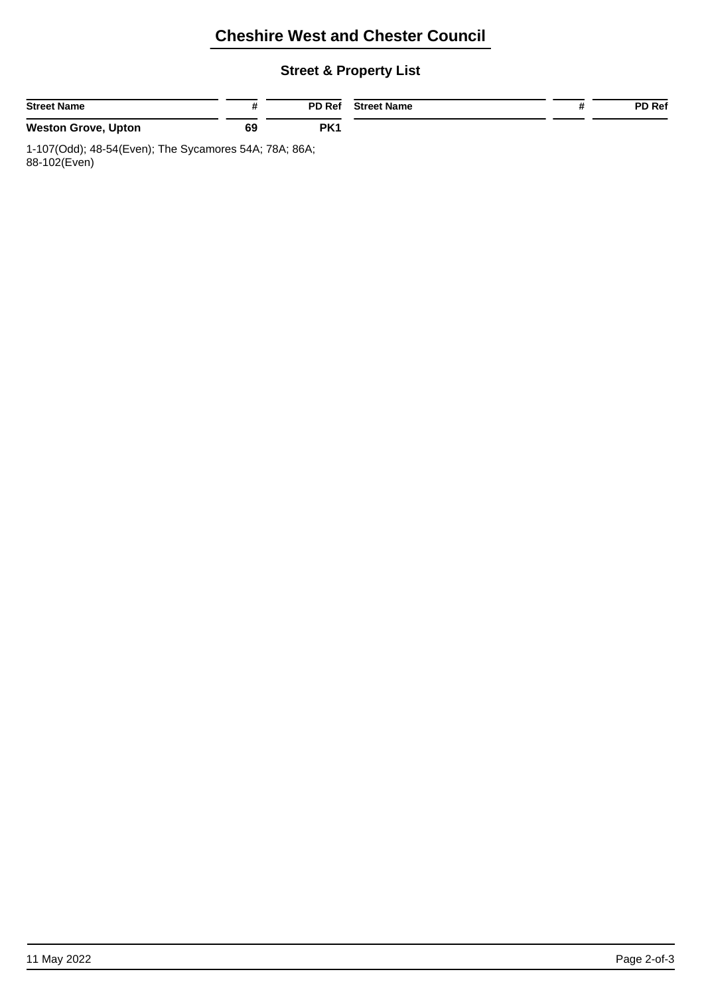# **Cheshire West and Chester Council**

#### **Street & Property List**

| <b>Street Name</b>         |    | <b>PD Ref</b>   | <b>Street Name</b> | <b>PD Ref</b> |
|----------------------------|----|-----------------|--------------------|---------------|
| <b>Weston Grove, Upton</b> | 69 | PK <sub>1</sub> |                    |               |

1-107(Odd); 48-54(Even); The Sycamores 54A; 78A; 86A; 88-102(Even)